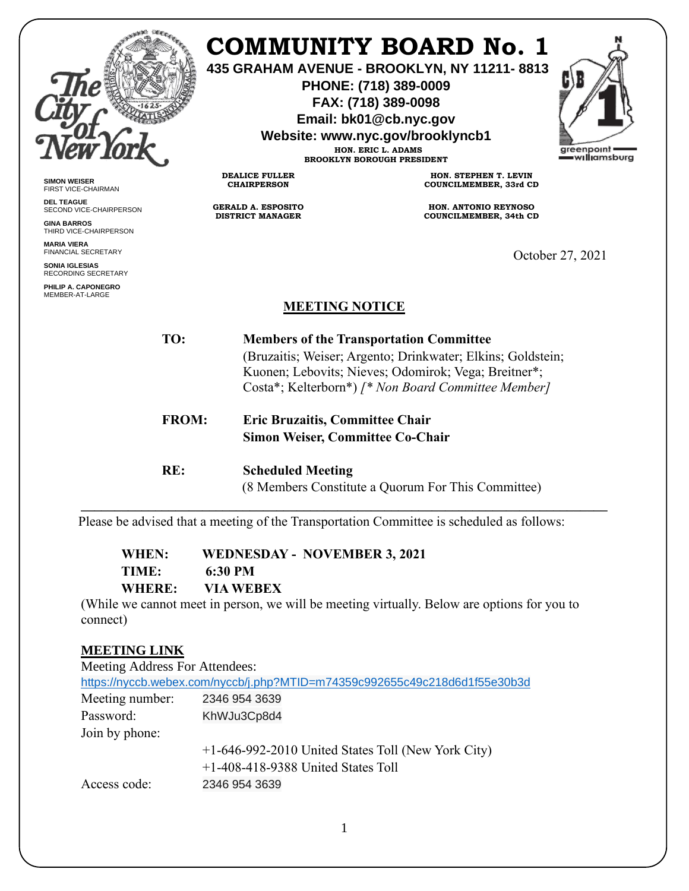|                                              |                                                                            | <b>COMMUNITY BOARD No. 1</b><br>435 GRAHAM AVENUE - BROOKLYN, NY 11211-8813<br>PHONE: (718) 389-0009<br>FAX: (718) 389-0098<br>Email: bk01@cb.nyc.gov<br>Website: www.nyc.gov/brooklyncb1<br>HON. ERIC L. ADAMS<br><b>BROOKLYN BOROUGH PRESIDENT</b> | greenpoint<br>—w <b>ıllı</b> amsbura |
|----------------------------------------------|----------------------------------------------------------------------------|------------------------------------------------------------------------------------------------------------------------------------------------------------------------------------------------------------------------------------------------------|--------------------------------------|
| <b>SIMON WEISER</b><br>FIRST VICE-CHAIRMAN   | <b>DEALICE FULLER</b><br><b>CHAIRPERSON</b>                                | HON. STEPHEN T. LEVIN<br>COUNCILMEMBER, 33rd CD                                                                                                                                                                                                      |                                      |
| <b>DEL TEAGUE</b><br>SECOND VICE-CHAIRPERSON | <b>GERALD A. ESPOSITO</b>                                                  | HON. ANTONIO REYNOSO                                                                                                                                                                                                                                 |                                      |
| <b>GINA BARROS</b><br>THIRD VICE-CHAIRPERSON | <b>DISTRICT MANAGER</b>                                                    | COUNCILMEMBER, 34th CD                                                                                                                                                                                                                               |                                      |
| <b>MARIA VIERA</b><br>FINANCIAL SECRETARY    |                                                                            |                                                                                                                                                                                                                                                      | October 27, 2021                     |
| <b>SONIA IGLESIAS</b><br>RECORDING SECRETARY |                                                                            |                                                                                                                                                                                                                                                      |                                      |
| PHILIP A. CAPONEGRO<br>MEMBER-AT-LARGE       |                                                                            |                                                                                                                                                                                                                                                      |                                      |
| <b>MEETING NOTICE</b>                        |                                                                            |                                                                                                                                                                                                                                                      |                                      |
| TO:                                          |                                                                            | <b>Members of the Transportation Committee</b><br>(Bruzaitis; Weiser; Argento; Drinkwater; Elkins; Goldstein;<br>Kuonen; Lebovits; Nieves; Odomirok; Vega; Breitner*;<br>Costa*; Kelterborn*) [* Non Board Committee Member]                         |                                      |
| <b>FROM:</b>                                 | <b>Eric Bruzaitis, Committee Chair</b><br>Simon Weiser, Committee Co-Chair |                                                                                                                                                                                                                                                      |                                      |
| RE:                                          | <b>Scheduled Meeting</b>                                                   | (8 Members Constitute a Quorum For This Committee)                                                                                                                                                                                                   |                                      |

Please be advised that a meeting of the Transportation Committee is scheduled as follows:

## WHEN: WEDNESDAY - NOVEMBER 3, 2021

 **TIME: 6:30 PM**

 **WHERE: VIA WEBEX**

(While we cannot meet in person, we will be meeting virtually. Below are options for you to connect)

## **MEETING LINK**

| Meeting Address For Attendees: |                                                                            |
|--------------------------------|----------------------------------------------------------------------------|
|                                | https://nyccb.webex.com/nyccb/j.php?MTID=m74359c992655c49c218d6d1f55e30b3d |
| Meeting number:                | 2346 954 3639                                                              |
| Password:                      | KhWJu3Cp8d4                                                                |
| Join by phone:                 |                                                                            |
|                                | $+1-646-992-2010$ United States Toll (New York City)                       |
|                                | $+1-408-418-9388$ United States Toll                                       |
| Access code:                   | 2346 954 3639                                                              |